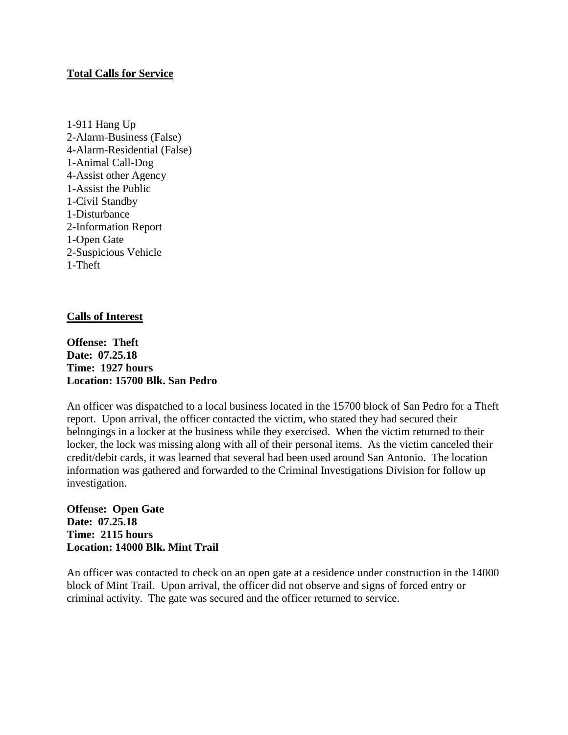## **Total Calls for Service**

1-911 Hang Up 2-Alarm-Business (False) 4-Alarm-Residential (False) 1-Animal Call-Dog 4-Assist other Agency 1-Assist the Public 1-Civil Standby 1-Disturbance 2-Information Report 1-Open Gate 2-Suspicious Vehicle 1-Theft

## **Calls of Interest**

**Offense: Theft Date: 07.25.18 Time: 1927 hours Location: 15700 Blk. San Pedro**

An officer was dispatched to a local business located in the 15700 block of San Pedro for a Theft report. Upon arrival, the officer contacted the victim, who stated they had secured their belongings in a locker at the business while they exercised. When the victim returned to their locker, the lock was missing along with all of their personal items. As the victim canceled their credit/debit cards, it was learned that several had been used around San Antonio. The location information was gathered and forwarded to the Criminal Investigations Division for follow up investigation.

**Offense: Open Gate Date: 07.25.18 Time: 2115 hours Location: 14000 Blk. Mint Trail**

An officer was contacted to check on an open gate at a residence under construction in the 14000 block of Mint Trail. Upon arrival, the officer did not observe and signs of forced entry or criminal activity. The gate was secured and the officer returned to service.